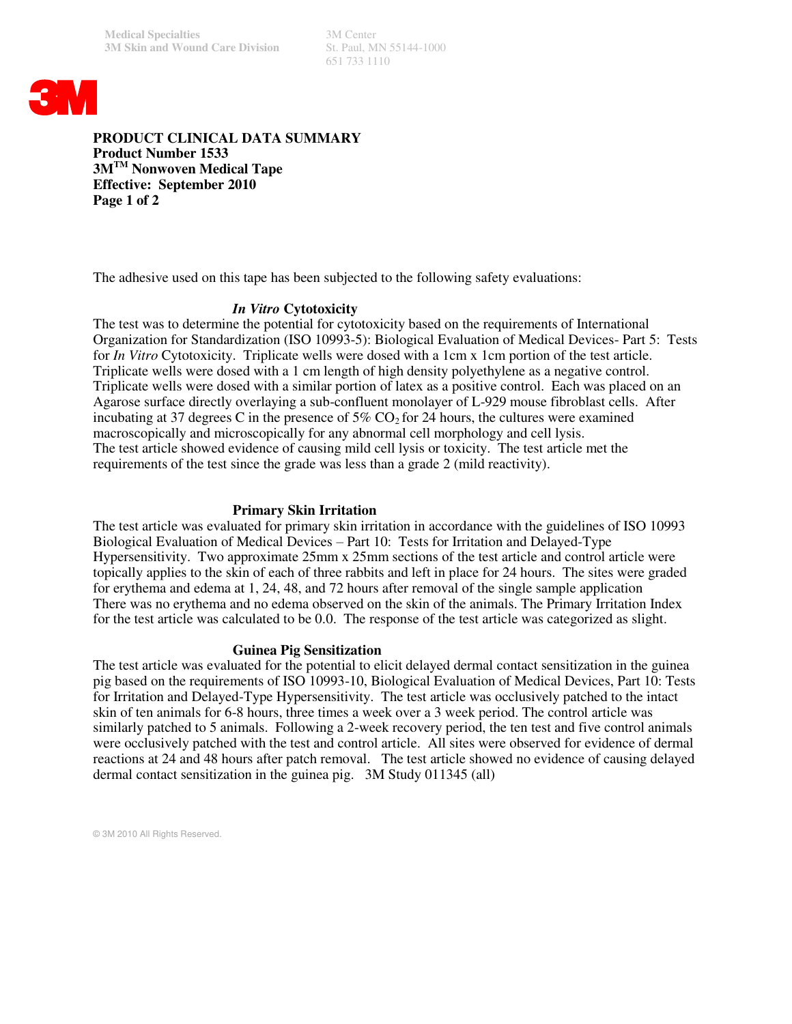651 733 1110



**PRODUCT CLINICAL DATA SUMMARY Product Number 1533 3MTM Nonwoven Medical Tape Effective: September 2010 Page 1 of 2**

The adhesive used on this tape has been subjected to the following safety evaluations:

## *In Vitro* **Cytotoxicity**

The test was to determine the potential for cytotoxicity based on the requirements of International Organization for Standardization (ISO 10993-5): Biological Evaluation of Medical Devices- Part 5: Tests for *In Vitro* Cytotoxicity. Triplicate wells were dosed with a 1cm x 1cm portion of the test article. Triplicate wells were dosed with a 1 cm length of high density polyethylene as a negative control. Triplicate wells were dosed with a similar portion of latex as a positive control. Each was placed on an Agarose surface directly overlaying a sub-confluent monolayer of L-929 mouse fibroblast cells. After incubating at 37 degrees C in the presence of  $5\%$  CO<sub>2</sub> for 24 hours, the cultures were examined macroscopically and microscopically for any abnormal cell morphology and cell lysis. The test article showed evidence of causing mild cell lysis or toxicity. The test article met the requirements of the test since the grade was less than a grade 2 (mild reactivity).

### **Primary Skin Irritation**

The test article was evaluated for primary skin irritation in accordance with the guidelines of ISO 10993 Biological Evaluation of Medical Devices – Part 10: Tests for Irritation and Delayed-Type Hypersensitivity. Two approximate 25mm x 25mm sections of the test article and control article were topically applies to the skin of each of three rabbits and left in place for 24 hours. The sites were graded for erythema and edema at 1, 24, 48, and 72 hours after removal of the single sample application There was no erythema and no edema observed on the skin of the animals. The Primary Irritation Index for the test article was calculated to be 0.0. The response of the test article was categorized as slight.

### **Guinea Pig Sensitization**

The test article was evaluated for the potential to elicit delayed dermal contact sensitization in the guinea pig based on the requirements of ISO 10993-10, Biological Evaluation of Medical Devices, Part 10: Tests for Irritation and Delayed-Type Hypersensitivity. The test article was occlusively patched to the intact skin of ten animals for 6-8 hours, three times a week over a 3 week period. The control article was similarly patched to 5 animals. Following a 2-week recovery period, the ten test and five control animals were occlusively patched with the test and control article. All sites were observed for evidence of dermal reactions at 24 and 48 hours after patch removal. The test article showed no evidence of causing delayed dermal contact sensitization in the guinea pig. 3M Study 011345 (all)